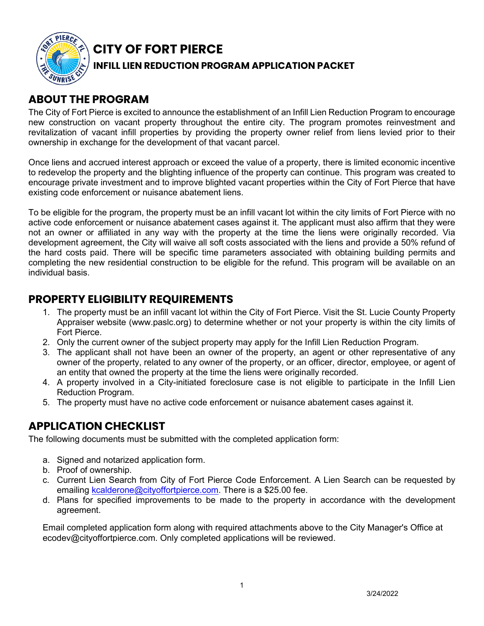

# **CITY OF FORT PIERCE**

### **INFILL LIEN REDUCTION PROGRAM APPLICATION PACKET**

## **ABOUT THE PROGRAM**

The City of Fort Pierce is excited to announce the establishment of an Infill Lien Reduction Program to encourage new construction on vacant property throughout the entire city. The program promotes reinvestment and revitalization of vacant infill properties by providing the property owner relief from liens levied prior to their ownership in exchange for the development of that vacant parcel.

Once liens and accrued interest approach or exceed the value of a property, there is limited economic incentive to redevelop the property and the blighting influence of the property can continue. This program was created to encourage private investment and to improve blighted vacant properties within the City of Fort Pierce that have existing code enforcement or nuisance abatement liens.

To be eligible for the program, the property must be an infill vacant lot within the city limits of Fort Pierce with no active code enforcement or nuisance abatement cases against it. The applicant must also affirm that they were not an owner or affiliated in any way with the property at the time the liens were originally recorded. Via development agreement, the City will waive all soft costs associated with the liens and provide a 50% refund of the hard costs paid. There will be specific time parameters associated with obtaining building permits and completing the new residential construction to be eligible for the refund. This program will be available on an individual basis.

## **PROPERTY ELIGIBILITY REQUIREMENTS**

- 1. The property must be an infill vacant lot within the City of Fort Pierce. Visit the St. Lucie County Property Appraiser website (www.paslc.org) to determine whether or not your property is within the city limits of Fort Pierce.
- 2. Only the current owner of the subject property may apply for the Infill Lien Reduction Program.
- 3. The applicant shall not have been an owner of the property, an agent or other representative of any owner of the property, related to any owner of the property, or an officer, director, employee, or agent of an entity that owned the property at the time the liens were originally recorded.
- 4. A property involved in a City-initiated foreclosure case is not eligible to participate in the Infill Lien Reduction Program.
- 5. The property must have no active code enforcement or nuisance abatement cases against it.

## **APPLICATION CHECKLIST**

The following documents must be submitted with the completed application form:

- a. Signed and notarized application form.
- b. Proof of ownership.
- c. Current Lien Search from City of Fort Pierce Code Enforcement. A Lien Search can be requested by emailing [kcalderone@cityoffortpierce.com.](mailto:kcalderone@cityoffortpierce.com) There is a \$25.00 fee.
- d. Plans for specified improvements to be made to the property in accordance with the development agreement.

Email completed application form along with required attach[ments above to the City Manag](mailto:ecodev@cityoffortpierce.com)er's Office at ecodev@cityoffortpierce.com. Only completed applications will be reviewed.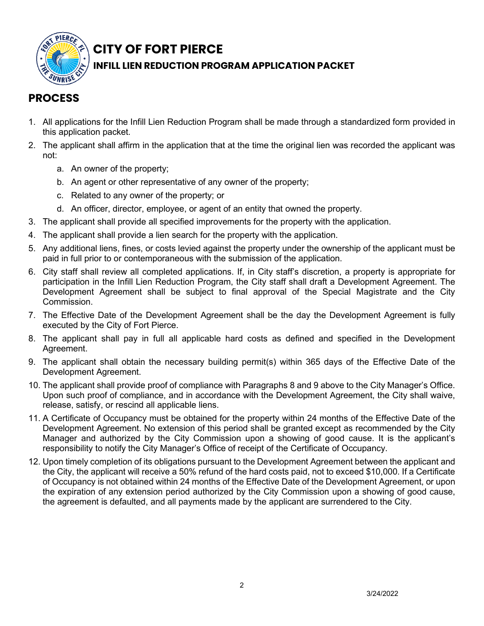

# **CITY OF FORT PIERCE**

### **INFILL LIEN REDUCTION PROGRAM APPLICATION PACKET**

# **PROCESS**

- 1. All applications for the Infill Lien Reduction Program shall be made through a standardized form provided in this application packet.
- 2. The applicant shall affirm in the application that at the time the original lien was recorded the applicant was not:
	- a. An owner of the property;
	- b. An agent or other representative of any owner of the property;
	- c. Related to any owner of the property; or
	- d. An officer, director, employee, or agent of an entity that owned the property.
- 3. The applicant shall provide all specified improvements for the property with the application.
- 4. The applicant shall provide a lien search for the property with the application.
- 5. Any additional liens, fines, or costs levied against the property under the ownership of the applicant must be paid in full prior to or contemporaneous with the submission of the application.
- 6. City staff shall review all completed applications. If, in City staff's discretion, a property is appropriate for participation in the Infill Lien Reduction Program, the City staff shall draft a Development Agreement. The Development Agreement shall be subject to final approval of the Special Magistrate and the City Commission.
- 7. The Effective Date of the Development Agreement shall be the day the Development Agreement is fully executed by the City of Fort Pierce.
- 8. The applicant shall pay in full all applicable hard costs as defined and specified in the Development Agreement.
- 9. The applicant shall obtain the necessary building permit(s) within 365 days of the Effective Date of the Development Agreement.
- 10. The applicant shall provide proof of compliance with Paragraphs 8 and 9 above to the City Manager's Office. Upon such proof of compliance, and in accordance with the Development Agreement, the City shall waive, release, satisfy, or rescind all applicable liens.
- 11. A Certificate of Occupancy must be obtained for the property within 24 months of the Effective Date of the Development Agreement. No extension of this period shall be granted except as recommended by the City Manager and authorized by the City Commission upon a showing of good cause. It is the applicant's responsibility to notify the City Manager's Office of receipt of the Certificate of Occupancy.
- 12. Upon timely completion of its obligations pursuant to the Development Agreement between the applicant and the City, the applicant will receive a 50% refund of the hard costs paid, not to exceed \$10,000. If a Certificate of Occupancy is not obtained within 24 months of the Effective Date of the Development Agreement, or upon the expiration of any extension period authorized by the City Commission upon a showing of good cause, the agreement is defaulted, and all payments made by the applicant are surrendered to the City.